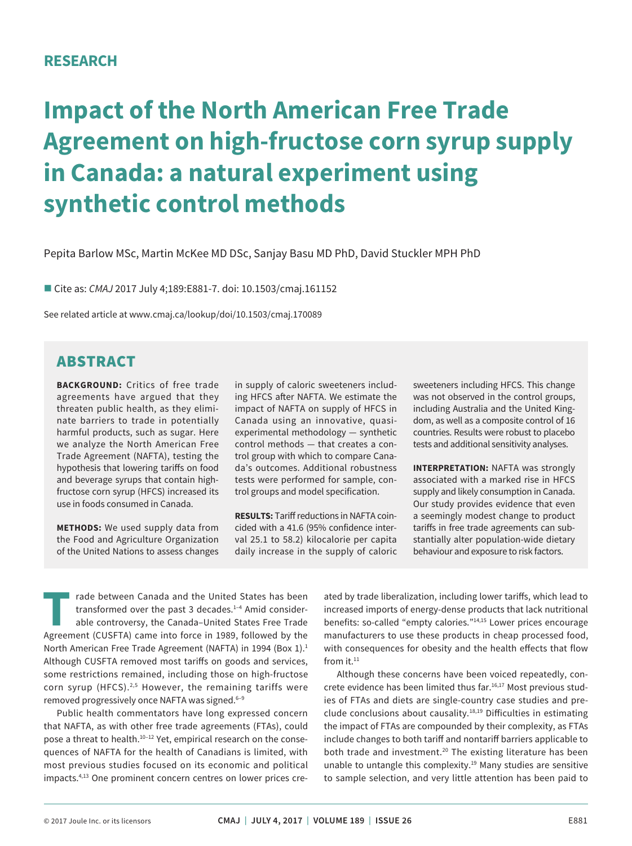# **RESEARCH**

# **Impact of the North American Free Trade Agreement on high-fructose corn syrup supply in Canada: a natural experiment using synthetic control methods**

Pepita Barlow MSc, Martin McKee MD DSc, Sanjay Basu MD PhD, David Stuckler MPH PhD

■ Cite as: *CMAJ* 2017 July 4;189:E881-7. doi: 10.1503/cmaj.161152

See related article at www.cmaj.ca/lookup/doi/10.1503/cmaj.170089

# ABSTRACT

**BACKGROUND:** Critics of free trade agreements have argued that they threaten public health, as they eliminate barriers to trade in potentially harmful products, such as sugar. Here we analyze the North American Free Trade Agreement (NAFTA), testing the hypothesis that lowering tariffs on food and beverage syrups that contain highfructose corn syrup (HFCS) increased its use in foods consumed in Canada.

**METHODS:** We used supply data from the Food and Agriculture Organization of the United Nations to assess changes

in supply of caloric sweeteners including HFCS after NAFTA. We estimate the impact of NAFTA on supply of HFCS in Canada using an innovative, quasiexperimental methodology — synthetic control methods — that creates a control group with which to compare Canada's outcomes. Additional robustness tests were performed for sample, control groups and model specification.

**RESULTS:** Tariff reductions in NAFTA coincided with a 41.6 (95% confidence interval 25.1 to 58.2) kilocalorie per capita daily increase in the supply of caloric sweeteners including HFCS. This change was not observed in the control groups, including Australia and the United Kingdom, as well as a composite control of 16 countries. Results were robust to placebo tests and additional sensitivity analyses.

**INTERPRETATION:** NAFTA was strongly associated with a marked rise in HFCS supply and likely consumption in Canada. Our study provides evidence that even a seemingly modest change to product tariffs in free trade agreements can substantially alter population-wide dietary behaviour and exposure to risk factors.

rade between Canada and the United States has been transformed over the past 3 decades.<sup>1-4</sup> Amid considerable controversy, the Canada–United States Free Trade Agreement (CUSFTA) came into force in 1989, followed by the North American Free Trade Agreement (NAFTA) in 1994 (Box 1).<sup>1</sup> Although CUSFTA removed most tariffs on goods and services, some restrictions remained, including those on high-fructose corn syrup (HFCS). $2,5$  However, the remaining tariffs were removed progressively once NAFTA was signed.<sup>6-9</sup>

Public health commentators have long expressed concern that NAFTA, as with other free trade agreements (FTAs), could pose a threat to health.10–12 Yet, empirical research on the consequences of NAFTA for the health of Canadians is limited, with most previous studies focused on its economic and political impacts.4,13 One prominent concern centres on lower prices created by trade liberalization, including lower tariffs, which lead to increased imports of energy-dense products that lack nutritional benefits: so-called "empty calories."<sup>14,15</sup> Lower prices encourage manufacturers to use these products in cheap processed food, with consequences for obesity and the health effects that flow from  $it.^{11}$ 

Although these concerns have been voiced repeatedly, concrete evidence has been limited thus far.<sup>16,17</sup> Most previous studies of FTAs and diets are single-country case studies and preclude conclusions about causality. $18,19$  Difficulties in estimating the impact of FTAs are compounded by their complexity, as FTAs include changes to both tariff and nontariff barriers applicable to both trade and investment.<sup>20</sup> The existing literature has been unable to untangle this complexity.<sup>19</sup> Many studies are sensitive to sample selection, and very little attention has been paid to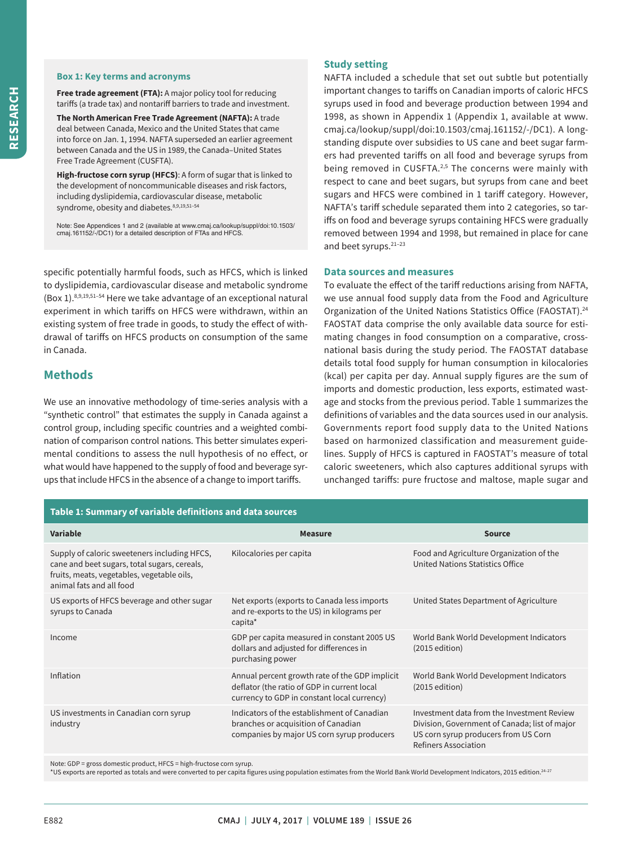#### **Box 1: Key terms and acronyms**

**Free trade agreement (FTA):** A major policy tool for reducing tariffs (a trade tax) and nontariff barriers to trade and investment.

**The North American Free Trade Agreement (NAFTA):** A trade deal between Canada, Mexico and the United States that came into force on Jan. 1, 1994. NAFTA superseded an earlier agreement between Canada and the US in 1989, the Canada–United States Free Trade Agreement (CUSFTA).

**High-fructose corn syrup (HFCS)**: A form of sugar that is linked to the development of noncommunicable diseases and risk factors, including dyslipidemia, cardiovascular disease, metabolic syndrome, obesity and diabetes. 8,9,19,51-54

Note: See Appendices 1 and 2 (available at www.cmaj.ca/lookup/suppl/doi:10.1503/ cmaj.161152/-/DC1) for a detailed description of FTAs and HFCS.

specific potentially harmful foods, such as HFCS, which is linked to dyslipidemia, cardiovascular disease and metabolic syndrome (Box 1).8,9,19,51–54 Here we take advantage of an exceptional natural experiment in which tariffs on HFCS were withdrawn, within an existing system of free trade in goods, to study the effect of withdrawal of tariffs on HFCS products on consumption of the same in Canada.

## **Methods**

We use an innovative methodology of time-series analysis with a "synthetic control" that estimates the supply in Canada against a control group, including specific countries and a weighted combination of comparison control nations. This better simulates experimental conditions to assess the null hypothesis of no effect, or what would have happened to the supply of food and beverage syrups that include HFCS in the absence of a change to import tariffs.

## **Study setting**

NAFTA included a schedule that set out subtle but potentially important changes to tariffs on Canadian imports of caloric HFCS syrups used in food and beverage production between 1994 and 1998, as shown in Appendix 1 (Appendix 1, available at www. cmaj.ca/lookup/suppl/doi:10.1503/cmaj.161152/-/DC1). A longstanding dispute over subsidies to US cane and beet sugar farmers had prevented tariffs on all food and beverage syrups from being removed in CUSFTA.<sup>2,5</sup> The concerns were mainly with respect to cane and beet sugars, but syrups from cane and beet sugars and HFCS were combined in 1 tariff category. However, NAFTA's tariff schedule separated them into 2 categories, so tariffs on food and beverage syrups containing HFCS were gradually removed between 1994 and 1998, but remained in place for cane and beet syrups.21–23

### **Data sources and measures**

To evaluate the effect of the tariff reductions arising from NAFTA, we use annual food supply data from the Food and Agriculture Organization of the United Nations Statistics Office (FAOSTAT).<sup>24</sup> FAOSTAT data comprise the only available data source for estimating changes in food consumption on a comparative, crossnational basis during the study period. The FAOSTAT database details total food supply for human consumption in kilocalories (kcal) per capita per day. Annual supply figures are the sum of imports and domestic production, less exports, estimated wastage and stocks from the previous period. Table 1 summarizes the definitions of variables and the data sources used in our analysis. Governments report food supply data to the United Nations based on harmonized classification and measurement guidelines. Supply of HFCS is captured in FAOSTAT's measure of total caloric sweeteners, which also captures additional syrups with unchanged tariffs: pure fructose and maltose, maple sugar and

| Table 1: Summary of variable definitions and data sources                                                                                                              |                                                                                                                                              |                                                                                                                                                             |  |
|------------------------------------------------------------------------------------------------------------------------------------------------------------------------|----------------------------------------------------------------------------------------------------------------------------------------------|-------------------------------------------------------------------------------------------------------------------------------------------------------------|--|
| <b>Variable</b>                                                                                                                                                        | <b>Measure</b>                                                                                                                               | <b>Source</b>                                                                                                                                               |  |
| Supply of caloric sweeteners including HFCS,<br>cane and beet sugars, total sugars, cereals,<br>fruits, meats, vegetables, vegetable oils,<br>animal fats and all food | Kilocalories per capita                                                                                                                      | Food and Agriculture Organization of the<br>United Nations Statistics Office                                                                                |  |
| US exports of HFCS beverage and other sugar<br>syrups to Canada                                                                                                        | Net exports (exports to Canada less imports)<br>and re-exports to the US) in kilograms per<br>capita*                                        | United States Department of Agriculture                                                                                                                     |  |
| Income                                                                                                                                                                 | GDP per capita measured in constant 2005 US<br>dollars and adjusted for differences in<br>purchasing power                                   | World Bank World Development Indicators<br>$(2015$ edition)                                                                                                 |  |
| Inflation                                                                                                                                                              | Annual percent growth rate of the GDP implicit<br>deflator (the ratio of GDP in current local<br>currency to GDP in constant local currency) | World Bank World Development Indicators<br>$(2015$ edition)                                                                                                 |  |
| US investments in Canadian corn syrup<br>industry                                                                                                                      | Indicators of the establishment of Canadian<br>branches or acquisition of Canadian<br>companies by major US corn syrup producers             | Investment data from the Investment Review<br>Division, Government of Canada; list of major<br>US corn syrup producers from US Corn<br>Refiners Association |  |
|                                                                                                                                                                        |                                                                                                                                              |                                                                                                                                                             |  |

Note: GDP = gross domestic product, HFCS = high-fructose corn syrup.

\*US exports are reported as totals and were converted to per capita figures using population estimates from the World Bank World Development Indicators, 2015 edition.24–27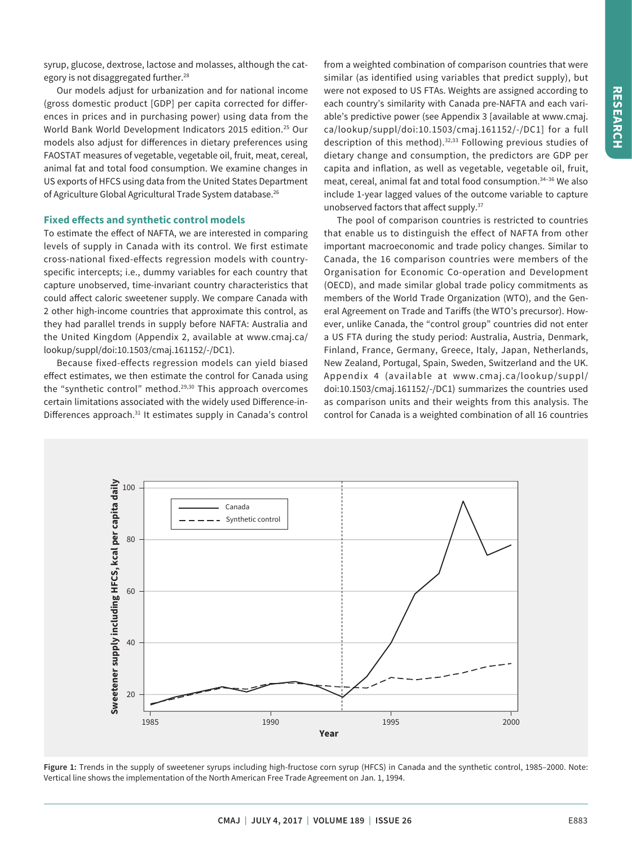syrup, glucose, dextrose, lactose and molasses, although the category is not disaggregated further.<sup>28</sup>

Our models adjust for urbanization and for national income (gross domestic product [GDP] per capita corrected for differences in prices and in purchasing power) using data from the World Bank World Development Indicators 2015 edition.25 Our models also adjust for differences in dietary preferences using FAOSTAT measures of vegetable, vegetable oil, fruit, meat, cereal, animal fat and total food consumption. We examine changes in US exports of HFCS using data from the United States Department of Agriculture Global Agricultural Trade System database.<sup>26</sup>

### **Fixed effects and synthetic control models**

To estimate the effect of NAFTA, we are interested in comparing levels of supply in Canada with its control. We first estimate cross-national fixed-effects regression models with countryspecific intercepts; i.e., dummy variables for each country that capture unobserved, time-invariant country characteristics that could affect caloric sweetener supply. We compare Canada with 2 other high-income countries that approximate this control, as they had parallel trends in supply before NAFTA: Australia and the United Kingdom (Appendix 2, available at www.cmaj.ca/ lookup/suppl/doi:10.1503/cmaj.161152/-/DC1).

Because fixed-effects regression models can yield biased effect estimates, we then estimate the control for Canada using the "synthetic control" method.<sup>29,30</sup> This approach overcomes certain limitations associated with the widely used Difference-in-Differences approach.<sup>31</sup> It estimates supply in Canada's control from a weighted combination of comparison countries that were similar (as identified using variables that predict supply), but were not exposed to US FTAs. Weights are assigned according to each country's similarity with Canada pre-NAFTA and each variable's predictive power (see Appendix 3 [available at www.cmaj. ca/lookup/suppl/doi:10.1503/cmaj.161152/-/DC1] for a full description of this method).<sup>32,33</sup> Following previous studies of dietary change and consumption, the predictors are GDP per capita and inflation, as well as vegetable, vegetable oil, fruit, meat, cereal, animal fat and total food consumption.34–36 We also include 1-year lagged values of the outcome variable to capture unobserved factors that affect supply.<sup>37</sup>

The pool of comparison countries is restricted to countries that enable us to distinguish the effect of NAFTA from other important macroeconomic and trade policy changes. Similar to Canada, the 16 comparison countries were members of the Organisation for Economic Co-operation and Development (OECD), and made similar global trade policy commitments as members of the World Trade Organization (WTO), and the General Agreement on Trade and Tariffs (the WTO's precursor). However, unlike Canada, the "control group" countries did not enter a US FTA during the study period: Australia, Austria, Denmark, Finland, France, Germany, Greece, Italy, Japan, Netherlands, New Zealand, Portugal, Spain, Sweden, Switzerland and the UK. Appendix 4 (available at www.cmaj.ca/lookup/suppl/ doi:10.1503/cmaj.161152/-/DC1) summarizes the countries used as comparison units and their weights from this analysis. The control for Canada is a weighted combination of all 16 countries



**Figure 1:** Trends in the supply of sweetener syrups including high-fructose corn syrup (HFCS) in Canada and the synthetic control, 1985–2000. Note: Vertical line shows the implementation of the North American Free Trade Agreement on Jan. 1, 1994.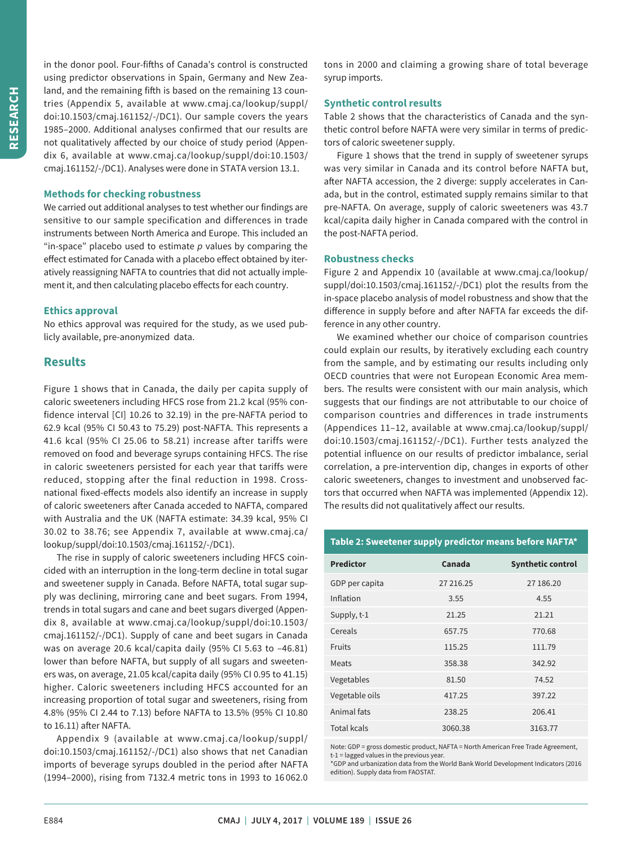in the donor pool. Four-fifths of Canada's control is constructed using predictor observations in Spain, Germany and New Zealand, and the remaining fifth is based on the remaining 13 countries (Appendix 5, available at www.cmaj.ca/lookup/suppl/ doi:10.1503/cmaj.161152/-/DC1). Our sample covers the years 1985–2000. Additional analyses confirmed that our results are not qualitatively affected by our choice of study period (Appendix 6, available at www.cmaj.ca/lookup/suppl/doi:10.1503/ cmaj.161152/-/DC1). Analyses were done in STATA version 13.1.

## **Methods for checking robustness**

We carried out additional analyses to test whether our findings are sensitive to our sample specification and differences in trade instruments between North America and Europe. This included an "in-space" placebo used to estimate *p* values by comparing the effect estimated for Canada with a placebo effect obtained by iteratively reassigning NAFTA to countries that did not actually implement it, and then calculating placebo effects for each country.

## **Ethics approval**

No ethics approval was required for the study, as we used publicly available, pre-anonymized data.

## **Results**

Figure 1 shows that in Canada, the daily per capita supply of caloric sweeteners including HFCS rose from 21.2 kcal (95% confidence interval [CI] 10.26 to 32.19) in the pre-NAFTA period to 62.9 kcal (95% CI 50.43 to 75.29) post-NAFTA. This represents a 41.6 kcal (95% CI 25.06 to 58.21) increase after tariffs were removed on food and beverage syrups containing HFCS. The rise in caloric sweeteners persisted for each year that tariffs were reduced, stopping after the final reduction in 1998. Crossnational fixed-effects models also identify an increase in supply of caloric sweeteners after Canada acceded to NAFTA, compared with Australia and the UK (NAFTA estimate: 34.39 kcal, 95% CI 30.02 to 38.76; see Appendix 7, available at www.cmaj.ca/ lookup/suppl/doi:10.1503/cmaj.161152/-/DC1).

The rise in supply of caloric sweeteners including HFCS coincided with an interruption in the long-term decline in total sugar and sweetener supply in Canada. Before NAFTA, total sugar supply was declining, mirroring cane and beet sugars. From 1994, trends in total sugars and cane and beet sugars diverged (Appendix 8, available at www.cmaj.ca/lookup/suppl/doi:10.1503/ cmaj.161152/-/DC1). Supply of cane and beet sugars in Canada was on average 20.6 kcal/capita daily (95% CI 5.63 to –46.81) lower than before NAFTA, but supply of all sugars and sweeteners was, on average, 21.05 kcal/capita daily (95% CI 0.95 to 41.15) higher. Caloric sweeteners including HFCS accounted for an increasing proportion of total sugar and sweeteners, rising from 4.8% (95% CI 2.44 to 7.13) before NAFTA to 13.5% (95% CI 10.80 to 16.11) after NAFTA.

Appendix 9 (available at www.cmaj.ca/lookup/suppl/ doi:10.1503/cmaj.161152/-/DC1) also shows that net Canadian imports of beverage syrups doubled in the period after NAFTA (1994–2000), rising from 7132.4 metric tons in 1993 to 16 062.0 tons in 2000 and claiming a growing share of total beverage syrup imports.

## **Synthetic control results**

Table 2 shows that the characteristics of Canada and the synthetic control before NAFTA were very similar in terms of predictors of caloric sweetener supply.

Figure 1 shows that the trend in supply of sweetener syrups was very similar in Canada and its control before NAFTA but, after NAFTA accession, the 2 diverge: supply accelerates in Canada, but in the control, estimated supply remains similar to that pre-NAFTA. On average, supply of caloric sweeteners was 43.7 kcal/capita daily higher in Canada compared with the control in the post-NAFTA period.

## **Robustness checks**

Figure 2 and Appendix 10 (available at www.cmaj.ca/lookup/ suppl/doi:10.1503/cmaj.161152/-/DC1) plot the results from the in-space placebo analysis of model robustness and show that the difference in supply before and after NAFTA far exceeds the difference in any other country.

We examined whether our choice of comparison countries could explain our results, by iteratively excluding each country from the sample, and by estimating our results including only OECD countries that were not European Economic Area members. The results were consistent with our main analysis, which suggests that our findings are not attributable to our choice of comparison countries and differences in trade instruments (Appendices 11–12, available at www.cmaj.ca/lookup/suppl/ doi:10.1503/cmaj.161152/-/DC1). Further tests analyzed the potential influence on our results of predictor imbalance, serial correlation, a pre-intervention dip, changes in exports of other caloric sweeteners, changes to investment and unobserved factors that occurred when NAFTA was implemented (Appendix 12). The results did not qualitatively affect our results.

## **Table 2: Sweetener supply predictor means before NAFTA\***

| <b>Predictor</b>   | Canada    | <b>Synthetic control</b> |
|--------------------|-----------|--------------------------|
| GDP per capita     | 27 216.25 | 27 186.20                |
| Inflation          | 3.55      | 4.55                     |
| Supply, t-1        | 21.25     | 21.21                    |
| Cereals            | 657.75    | 770.68                   |
| Fruits             | 115.25    | 111.79                   |
| Meats              | 358.38    | 342.92                   |
| Vegetables         | 81.50     | 74.52                    |
| Vegetable oils     | 417.25    | 397.22                   |
| Animal fats        | 238.25    | 206.41                   |
| <b>Total kcals</b> | 3060.38   | 3163.77                  |

Note: GDP = gross domestic product, NAFTA = North American Free Trade Agreement,  $t-1 =$  lagged values in the previous year.

\*GDP and urbanization data from the World Bank World Development Indicators (2016 edition). Supply data from FAOSTAT.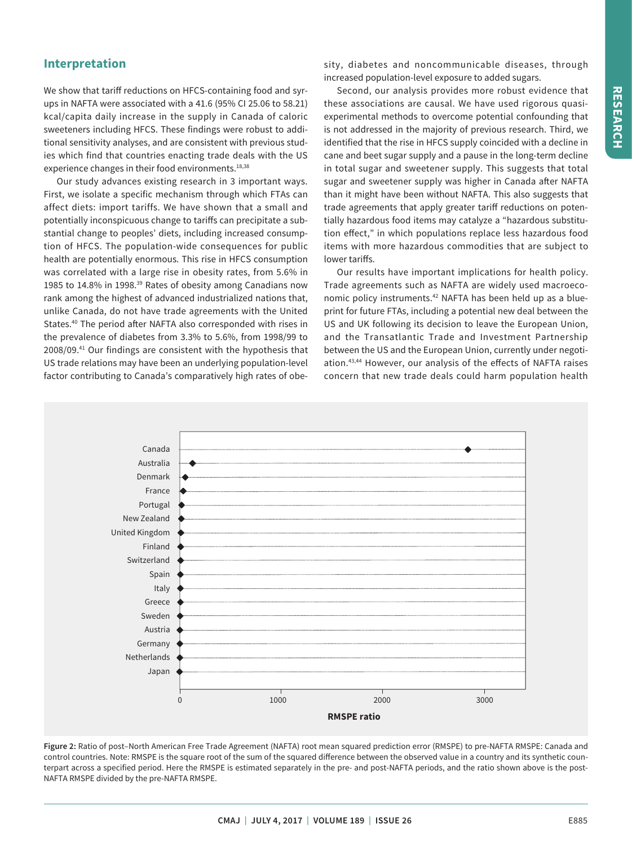## **Interpretation**

We show that tariff reductions on HFCS-containing food and syrups in NAFTA were associated with a 41.6 (95% CI 25.06 to 58.21) kcal/capita daily increase in the supply in Canada of caloric sweeteners including HFCS. These findings were robust to additional sensitivity analyses, and are consistent with previous studies which find that countries enacting trade deals with the US experience changes in their food environments.<sup>18,38</sup>

Our study advances existing research in 3 important ways. First, we isolate a specific mechanism through which FTAs can affect diets: import tariffs. We have shown that a small and potentially inconspicuous change to tariffs can precipitate a substantial change to peoples' diets, including increased consumption of HFCS. The population-wide consequences for public health are potentially enormous. This rise in HFCS consumption was correlated with a large rise in obesity rates, from 5.6% in 1985 to 14.8% in 1998.<sup>39</sup> Rates of obesity among Canadians now rank among the highest of advanced industrialized nations that, unlike Canada, do not have trade agreements with the United States.40 The period after NAFTA also corresponded with rises in the prevalence of diabetes from 3.3% to 5.6%, from 1998/99 to 2008/09.41 Our findings are consistent with the hypothesis that US trade relations may have been an underlying population-level factor contributing to Canada's comparatively high rates of obesity, diabetes and noncommunicable diseases, through increased population-level exposure to added sugars.

Second, our analysis provides more robust evidence that these associations are causal. We have used rigorous quasiexperimental methods to overcome potential confounding that is not addressed in the majority of previous research. Third, we identified that the rise in HFCS supply coincided with a decline in cane and beet sugar supply and a pause in the long-term decline in total sugar and sweetener supply. This suggests that total sugar and sweetener supply was higher in Canada after NAFTA than it might have been without NAFTA. This also suggests that trade agreements that apply greater tariff reductions on potentially hazardous food items may catalyze a "hazardous substitution effect," in which populations replace less hazardous food items with more hazardous commodities that are subject to lower tariffs.

Our results have important implications for health policy. Trade agreements such as NAFTA are widely used macroeconomic policy instruments.<sup>42</sup> NAFTA has been held up as a blueprint for future FTAs, including a potential new deal between the US and UK following its decision to leave the European Union, and the Transatlantic Trade and Investment Partnership between the US and the European Union, currently under negotiation.43,44 However, our analysis of the effects of NAFTA raises concern that new trade deals could harm population health



**Figure 2:** Ratio of post–North American Free Trade Agreement (NAFTA) root mean squared prediction error (RMSPE) to pre-NAFTA RMSPE: Canada and control countries. Note: RMSPE is the square root of the sum of the squared difference between the observed value in a country and its synthetic counterpart across a specified period. Here the RMSPE is estimated separately in the pre- and post-NAFTA periods, and the ratio shown above is the post-NAFTA RMSPE divided by the pre-NAFTA RMSPE.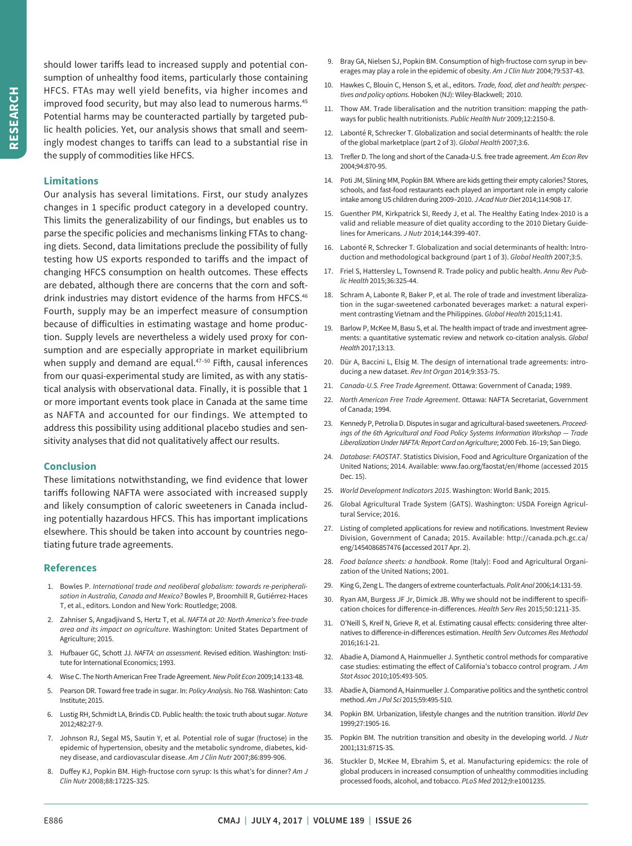should lower tariffs lead to increased supply and potential consumption of unhealthy food items, particularly those containing HFCS. FTAs may well yield benefits, via higher incomes and improved food security, but may also lead to numerous harms.<sup>45</sup> Potential harms may be counteracted partially by targeted public health policies. Yet, our analysis shows that small and seemingly modest changes to tariffs can lead to a substantial rise in the supply of commodities like HFCS.

#### **Limitations**

Our analysis has several limitations. First, our study analyzes changes in 1 specific product category in a developed country. This limits the generalizability of our findings, but enables us to parse the specific policies and mechanisms linking FTAs to changing diets. Second, data limitations preclude the possibility of fully testing how US exports responded to tariffs and the impact of changing HFCS consumption on health outcomes. These effects are debated, although there are concerns that the corn and softdrink industries may distort evidence of the harms from HFCS.<sup>46</sup> Fourth, supply may be an imperfect measure of consumption because of difficulties in estimating wastage and home production. Supply levels are nevertheless a widely used proxy for consumption and are especially appropriate in market equilibrium when supply and demand are equal.<sup>47-50</sup> Fifth, causal inferences from our quasi-experimental study are limited, as with any statistical analysis with observational data. Finally, it is possible that 1 or more important events took place in Canada at the same time as NAFTA and accounted for our findings. We attempted to address this possibility using additional placebo studies and sensitivity analyses that did not qualitatively affect our results.

#### **Conclusion**

These limitations notwithstanding, we find evidence that lower tariffs following NAFTA were associated with increased supply and likely consumption of caloric sweeteners in Canada including potentially hazardous HFCS. This has important implications elsewhere. This should be taken into account by countries negotiating future trade agreements.

### **References**

- 1. Bowles P. *International trade and neoliberal globalism: towards re-peripheralisation in Australia, Canada and Mexico?* Bowles P, Broomhill R, Gutiérrez-Haces T, et al., editors. London and New York: Routledge; 2008.
- 2. Zahniser S, Angadjivand S, Hertz T, et al. *NAFTA at 20: North America's free-trade area and its impact on agriculture*. Washington: United States Department of Agriculture; 2015.
- 3. Hufbauer GC, Schott JJ. *NAFTA: an assessment*. Revised edition. Washington: Institute for International Economics; 1993.
- 4. Wise C. The North American Free Trade Agreement.*New Polit Econ* 2009;14:133-48.
- 5. Pearson DR. Toward free trade in sugar. In: *Policy Analysis*. No 768. Washinton: Cato Institute; 2015.
- 6. Lustig RH, Schmidt LA, Brindis CD. Public health: the toxic truth about sugar. *Nature* 2012;482:27-9.
- 7. Johnson RJ, Segal MS, Sautin Y, et al. Potential role of sugar (fructose) in the epidemic of hypertension, obesity and the metabolic syndrome, diabetes, kidney disease, and cardiovascular disease. *Am J Clin Nutr* 2007;86:899-906.
- 8. Duffey KJ, Popkin BM. High-fructose corn syrup: Is this what's for dinner? *Am J Clin Nutr* 2008;88:1722S-32S.
- 9. Bray GA, Nielsen SJ, Popkin BM. Consumption of high-fructose corn syrup in beverages may play a role in the epidemic of obesity. *Am J Clin Nutr* 2004;79:537-43.
- 10. Hawkes C, Blouin C, Henson S, et al., editors. *Trade, food, diet and health: perspectives and policy options*. Hoboken (NJ): Wiley-Blackwell; 2010.
- 11. Thow AM. Trade liberalisation and the nutrition transition: mapping the pathways for public health nutritionists. *Public Health Nutr* 2009;12:2150-8.
- 12. Labonté R, Schrecker T. Globalization and social determinants of health: the role of the global marketplace (part 2 of 3). *Global Health* 2007;3:6.
- 13. Trefler D. The long and short of the Canada-U.S. free trade agreement. *Am Econ Rev* 2004;94:870-95.
- 14. Poti JM, Slining MM, Popkin BM. Where are kids getting their empty calories? Stores, schools, and fast-food restaurants each played an important role in empty calorie intake among US children during 2009–2010. *J Acad Nutr Diet* 2014;114:908-17.
- 15. Guenther PM, Kirkpatrick SI, Reedy J, et al. The Healthy Eating Index-2010 is a valid and reliable measure of diet quality according to the 2010 Dietary Guidelines for Americans. *J Nutr* 2014;144:399-407.
- 16. Labonté R, Schrecker T. Globalization and social determinants of health: Introduction and methodological background (part 1 of 3). *Global Health* 2007;3:5.
- 17. Friel S, Hattersley L, Townsend R. Trade policy and public health. *Annu Rev Public Health* 2015;36:325-44.
- 18. Schram A, Labonte R, Baker P, et al. The role of trade and investment liberalization in the sugar-sweetened carbonated beverages market: a natural experiment contrasting Vietnam and the Philippines. *Global Health* 2015;11:41.
- 19. Barlow P, McKee M, Basu S, et al. The health impact of trade and investment agreements: a quantitative systematic review and network co-citation analysis. *Global Health* 2017;13:13.
- 20. Dür A, Baccini L, Elsig M. The design of international trade agreements: introducing a new dataset. *Rev Int Organ* 2014;9:353-75.
- 21. *Canada-U.S. Free Trade Agreement*. Ottawa: Government of Canada; 1989.
- 22. *North American Free Trade Agreement*. Ottawa: NAFTA Secretariat, Government of Canada; 1994.
- 23. KennedyP, PetroliaD. Disputes in sugar and agricultural-based sweeteners. *Proceedings of the 6th Agricultural and Food Policy Systems Information Workshop — Trade Liberalization Under NAFTA: Report Card on Agriculture*; 2000 Feb. 16–19; San Diego.
- 24. *Database: FAOSTAT*. Statistics Division, Food and Agriculture Organization of the United Nations; 2014. Available: www.fao.org/faostat/en/#home (accessed 2015 Dec. 15).
- 25. *World Development Indicators 2015*. Washington: World Bank; 2015.
- 26. Global Agricultural Trade System (GATS). Washington: USDA Foreign Agricultural Service; 2016.
- 27. Listing of completed applications for review and notifications. Investment Review Division, Government of Canada; 2015. Available: http://canada.pch.gc.ca/ eng/1454086857476 **(**accessed 2017 Apr. 2).
- 28. *Food balance sheets: a handbook*. Rome (Italy): Food and Agricultural Organization of the United Nations; 2001.
- 29. KingG, Zeng L. The dangers of extreme counterfactuals. *Polit Anal* 2006;14:131-59.
- 30. Ryan AM, Burgess JF Jr, Dimick JB. Why we should not be indifferent to specification choices for difference-in-differences. *Health Serv Res* 2015;50:1211-35.
- 31. O'Neill S, Kreif N, Grieve R, et al. Estimating causal effects: considering three alternatives to difference-in-differences estimation. *Health Serv Outcomes Res Methodol* 2016;16:1-21.
- 32. Abadie A, Diamond A, Hainmueller J. Synthetic control methods for comparative case studies: estimating the effect of California's tobacco control program. *J Am Stat Assoc* 2010;105:493-505.
- 33. Abadie A, Diamond A, Hainmueller J. Comparative politics and the synthetic control method. *Am J Pol Sci* 2015;59:495-510.
- 34. Popkin BM. Urbanization, lifestyle changes and the nutrition transition. *World Dev* 1999;27:1905-16.
- 35. Popkin BM. The nutrition transition and obesity in the developing world. *J Nutr* 2001;131:871S-3S.
- 36. Stuckler D, McKee M, Ebrahim S, et al. Manufacturing epidemics: the role of global producers in increased consumption of unhealthy commodities including processed foods, alcohol, and tobacco. *PLoS Med* 2012;9:e1001235.